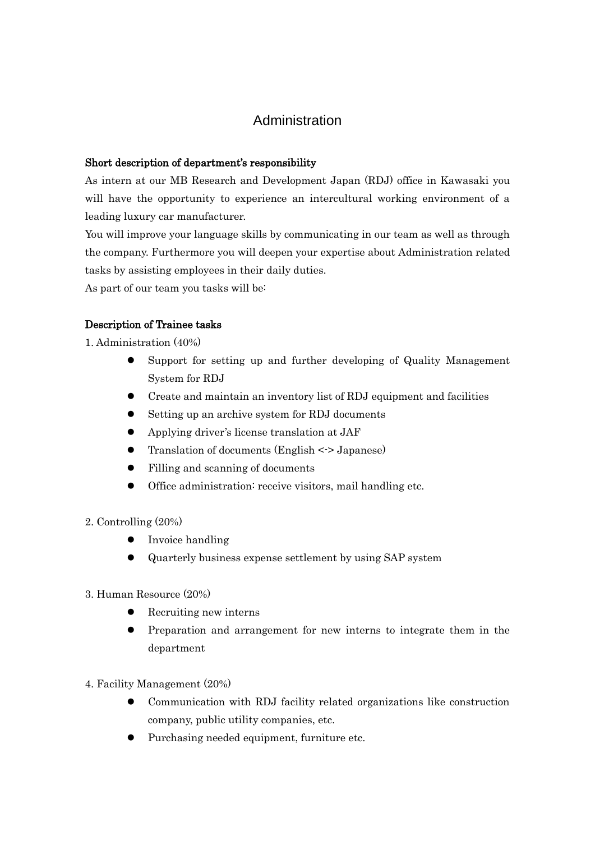# Administration

#### Short description of department's responsibility

As intern at our MB Research and Development Japan (RDJ) office in Kawasaki you will have the opportunity to experience an intercultural working environment of a leading luxury car manufacturer.

You will improve your language skills by communicating in our team as well as through the company. Furthermore you will deepen your expertise about Administration related tasks by assisting employees in their daily duties.

As part of our team you tasks will be:

## Description of Trainee tasks

1. Administration (40%)

- Support for setting up and further developing of Quality Management System for RDJ
- Create and maintain an inventory list of RDJ equipment and facilities
- Setting up an archive system for RDJ documents
- Applying driver's license translation at JAF
- Translation of documents (English  $\le$  > Japanese)
- Filling and scanning of documents
- Office administration: receive visitors, mail handling etc.
- 2. Controlling (20%)
	- Invoice handling
	- Quarterly business expense settlement by using SAP system
- 3. Human Resource (20%)
	- Recruiting new interns
	- Preparation and arrangement for new interns to integrate them in the department
- 4. Facility Management (20%)
	- Communication with RDJ facility related organizations like construction company, public utility companies, etc.
	- Purchasing needed equipment, furniture etc.